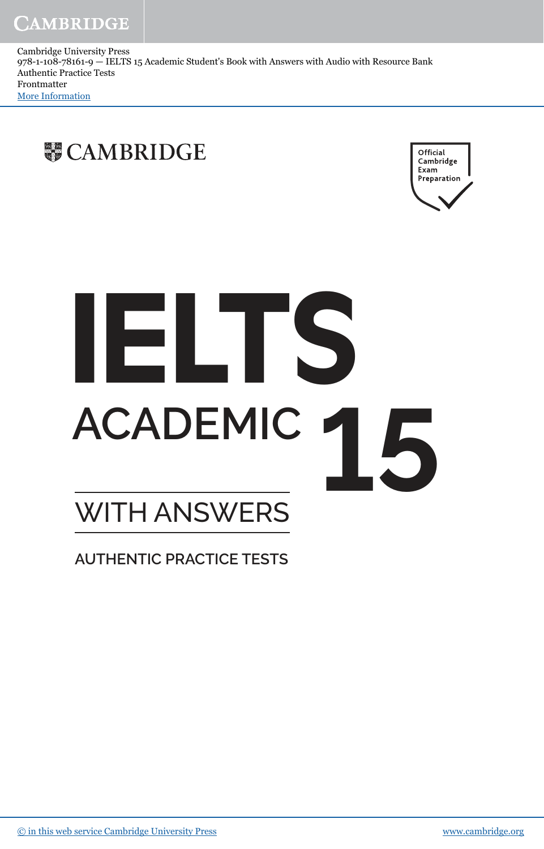Cambridge University Press 978-1-108-78161-9 — IELTS 15 Academic Student's Book with Answers with Audio with Resource Bank Authentic Practice Tests Frontmatter [More Information](www.cambridge.org/9781108781619)





# **ACADEMIC** IELTS **15**

# WITH ANSWERS

# **AUTHENTIC PRACTICE TESTS**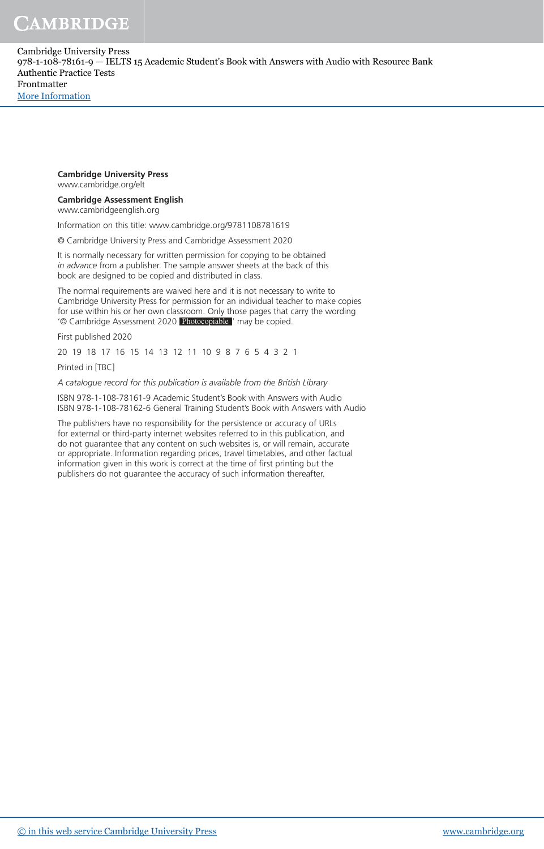Cambridge University Press 978-1-108-78161-9 — IELTS 15 Academic Student's Book with Answers with Audio with Resource Bank Authentic Practice Tests Frontmatter [More Information](www.cambridge.org/9781108781619)

**Cambridge University Press**

www.cambridge.org/elt

#### **Cambridge Assessment English**

www.cambridgeenglish.org

Information on this title: www.cambridge.org/9781108781619

© Cambridge University Press and Cambridge Assessment 2020

It is normally necessary for written permission for copying to be obtained *in advance* from a publisher. The sample answer sheets at the back of this book are designed to be copied and distributed in class.

The normal requirements are waived here and it is not necessary to write to Cambridge University Press for permission for an individual teacher to make copies for use within his or her own classroom. Only those pages that carry the wording '© Cambridge Assessment 2020 Photocopiable ' may be copied.

First published 2020

20 19 18 17 16 15 14 13 12 11 10 9 8 7 6 5 4 3 2 1

Printed in [TBC]

*A catalogue record for this publication is available from the British Library*

ISBN 978-1-108-78161-9 Academic Student's Book with Answers with Audio ISBN 978-1-108-78162-6 General Training Student's Book with Answers with Audio

The publishers have no responsibility for the persistence or accuracy of URLs for external or third-party internet websites referred to in this publication, and do not guarantee that any content on such websites is, or will remain, accurate or appropriate. Information regarding prices, travel timetables, and other factual information given in this work is correct at the time of first printing but the publishers do not guarantee the accuracy of such information thereafter.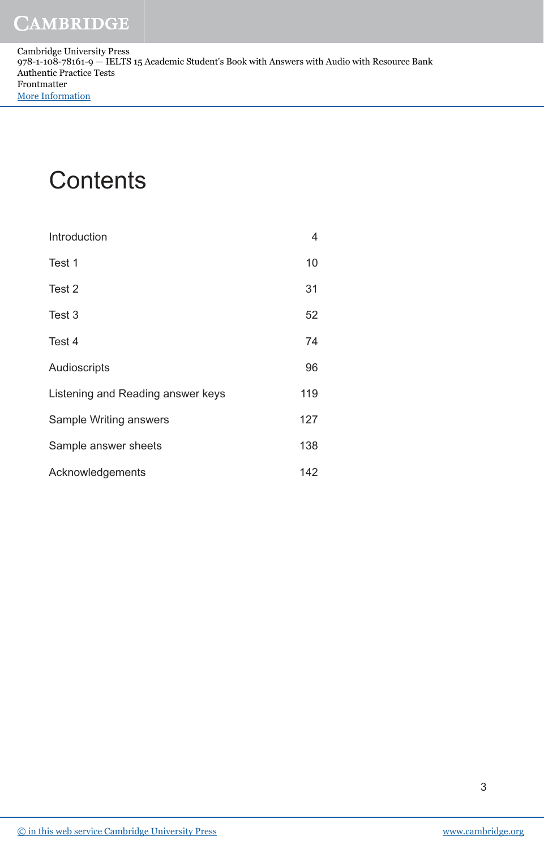Cambridge University Press 978-1-108-78161-9 — IELTS 15 Academic Student's Book with Answers with Audio with Resource Bank Authentic Practice Tests Frontmatter [More Information](www.cambridge.org/9781108781619)

# **Contents**

| Introduction                      | 4   |
|-----------------------------------|-----|
| Test 1                            | 10  |
| Test 2                            | 31  |
| Test 3                            | 52  |
| Test 4                            | 74  |
| Audioscripts                      | 96  |
| Listening and Reading answer keys | 119 |
| Sample Writing answers            | 127 |
| Sample answer sheets              | 138 |
| Acknowledgements                  | 142 |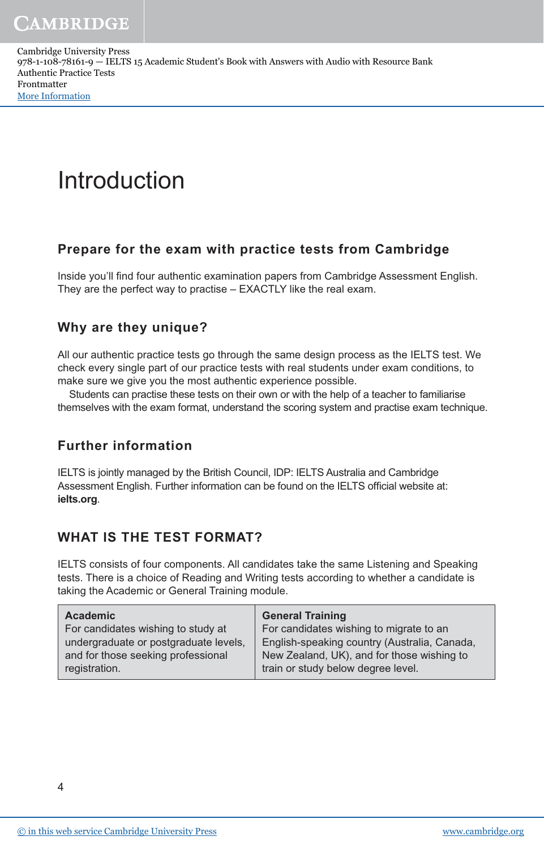Cambridge University Press 978-1-108-78161-9 — IELTS 15 Academic Student's Book with Answers with Audio with Resource Bank Authentic Practice Tests Frontmatter [More Information](www.cambridge.org/9781108781619)

# **Introduction**

## **Prepare for the exam with practice tests from Cambridge**

Inside you'll find four authentic examination papers from Cambridge Assessment English. They are the perfect way to practise – EXACTLY like the real exam.

# **Why are they unique?**

All our authentic practice tests go through the same design process as the IELTS test. We check every single part of our practice tests with real students under exam conditions, to make sure we give you the most authentic experience possible.

Students can practise these tests on their own or with the help of a teacher to familiarise themselves with the exam format, understand the scoring system and practise exam technique.

## **Further information**

IELTS is jointly managed by the British Council, IDP: IELTS Australia and Cambridge Assessment English. Further information can be found on the IELTS official website at: **ielts.org**.

## **WHAT IS THE TEST FORMAT?**

IELTS consists of four components. All candidates take the same Listening and Speaking tests. There is a choice of Reading and Writing tests according to whether a candidate is taking the Academic or General Training module.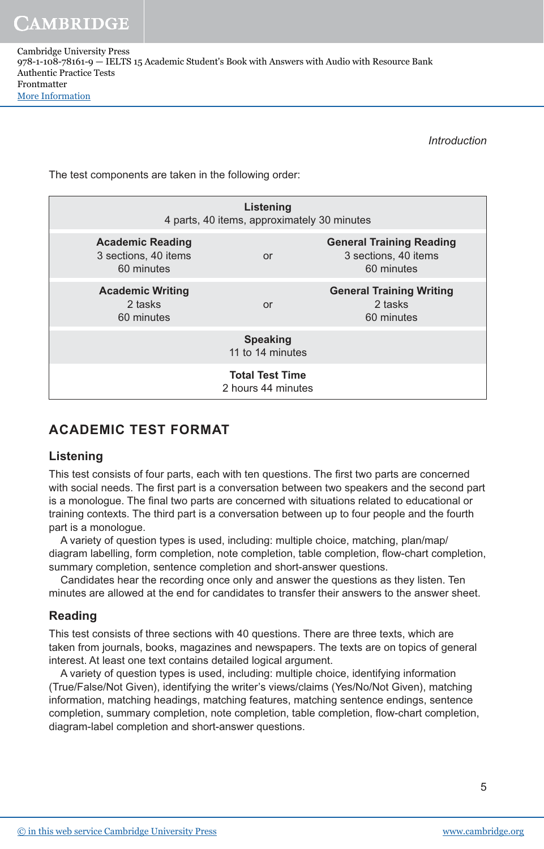*Introduction*

The test components are taken in the following order:

| Listening<br>4 parts, 40 items, approximately 30 minutes      |                                              |                                                                       |  |
|---------------------------------------------------------------|----------------------------------------------|-----------------------------------------------------------------------|--|
| <b>Academic Reading</b><br>3 sections, 40 items<br>60 minutes | <sub>or</sub>                                | <b>General Training Reading</b><br>3 sections, 40 items<br>60 minutes |  |
| <b>Academic Writing</b><br>2 tasks<br>60 minutes              | or                                           | <b>General Training Writing</b><br>2 tasks<br>60 minutes              |  |
| <b>Speaking</b><br>11 to 14 minutes                           |                                              |                                                                       |  |
|                                                               | <b>Total Test Time</b><br>2 hours 44 minutes |                                                                       |  |

# **ACADEMIC TEST FORMAT**

#### **Listening**

This test consists of four parts, each with ten questions. The first two parts are concerned with social needs. The first part is a conversation between two speakers and the second part is a monologue. The final two parts are concerned with situations related to educational or training contexts. The third part is a conversation between up to four people and the fourth part is a monologue.

A variety of question types is used, including: multiple choice, matching, plan/map/ diagram labelling, form completion, note completion, table completion, flow-chart completion, summary completion, sentence completion and short-answer questions.

Candidates hear the recording once only and answer the questions as they listen. Ten minutes are allowed at the end for candidates to transfer their answers to the answer sheet.

#### **Reading**

This test consists of three sections with 40 questions. There are three texts, which are taken from journals, books, magazines and newspapers. The texts are on topics of general interest. At least one text contains detailed logical argument.

A variety of question types is used, including: multiple choice, identifying information (True/False/Not Given), identifying the writer's views/claims (Yes/No/Not Given), matching information, matching headings, matching features, matching sentence endings, sentence completion, summary completion, note completion, table completion, flow-chart completion, diagram-label completion and short-answer questions.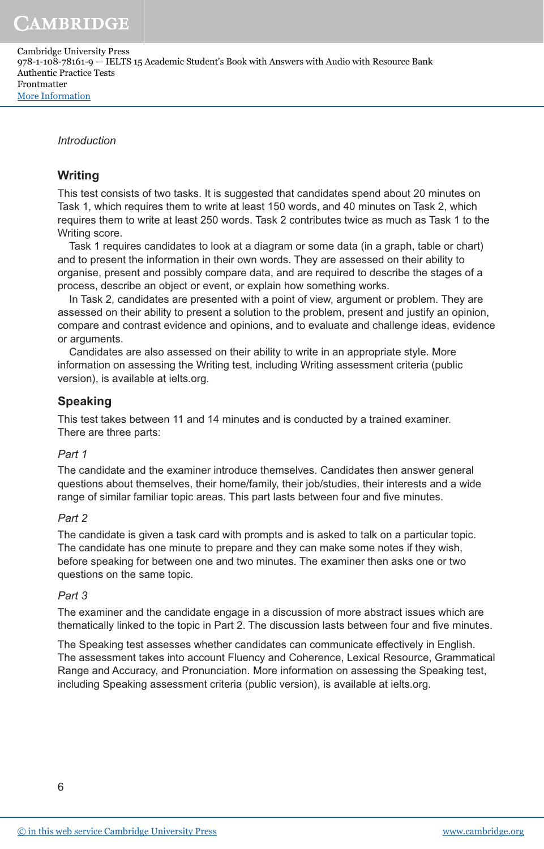Cambridge University Press 978-1-108-78161-9 — IELTS 15 Academic Student's Book with Answers with Audio with Resource Bank Authentic Practice Tests Frontmatter [More Information](www.cambridge.org/9781108781619)

*Introduction*

#### **Writing**

This test consists of two tasks. It is suggested that candidates spend about 20 minutes on Task 1, which requires them to write at least 150 words, and 40 minutes on Task 2, which requires them to write at least 250 words. Task 2 contributes twice as much as Task 1 to the Writing score.

Task 1 requires candidates to look at a diagram or some data (in a graph, table or chart) and to present the information in their own words. They are assessed on their ability to organise, present and possibly compare data, and are required to describe the stages of a process, describe an object or event, or explain how something works.

In Task 2, candidates are presented with a point of view, argument or problem. They are assessed on their ability to present a solution to the problem, present and justify an opinion, compare and contrast evidence and opinions, and to evaluate and challenge ideas, evidence or arguments.

Candidates are also assessed on their ability to write in an appropriate style. More information on assessing the Writing test, including Writing assessment criteria (public version), is available at ielts.org.

#### **Speaking**

This test takes between 11 and 14 minutes and is conducted by a trained examiner. There are three parts:

#### *Part 1*

The candidate and the examiner introduce themselves. Candidates then answer general questions about themselves, their home/family, their job/studies, their interests and a wide range of similar familiar topic areas. This part lasts between four and five minutes.

#### *Part 2*

The candidate is given a task card with prompts and is asked to talk on a particular topic. The candidate has one minute to prepare and they can make some notes if they wish, before speaking for between one and two minutes. The examiner then asks one or two questions on the same topic.

#### *Part 3*

The examiner and the candidate engage in a discussion of more abstract issues which are thematically linked to the topic in Part 2. The discussion lasts between four and five minutes.

The Speaking test assesses whether candidates can communicate effectively in English. The assessment takes into account Fluency and Coherence, Lexical Resource, Grammatical Range and Accuracy, and Pronunciation. More information on assessing the Speaking test, including Speaking assessment criteria (public version), is available at ielts.org.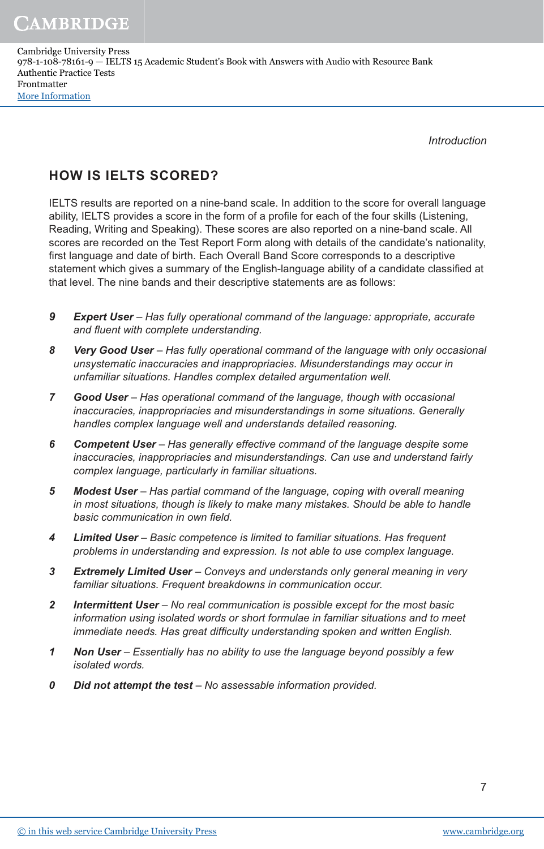Cambridge University Press 978-1-108-78161-9 — IELTS 15 Academic Student's Book with Answers with Audio with Resource Bank Authentic Practice Tests Frontmatter [More Information](www.cambridge.org/9781108781619)

*Introduction*

# **HOW IS IELTS SCORED?**

IELTS results are reported on a nine-band scale. In addition to the score for overall language ability, IELTS provides a score in the form of a profile for each of the four skills (Listening, Reading, Writing and Speaking). These scores are also reported on a nine-band scale. All scores are recorded on the Test Report Form along with details of the candidate's nationality, first language and date of birth. Each Overall Band Score corresponds to a descriptive statement which gives a summary of the English-language ability of a candidate classified at that level. The nine bands and their descriptive statements are as follows:

- **9** Expert User Has fully operational command of the language: appropriate, accurate *and fluent with complete understanding.*
- *8 Very Good User Has fully operational command of the language with only occasional unsystematic inaccuracies and inappropriacies. Misunderstandings may occur in unfamiliar situations. Handles complex detailed argumentation well.*
- *7 Good User Has operational command of the language, though with occasional inaccuracies, inappropriacies and misunderstandings in some situations. Generally handles complex language well and understands detailed reasoning.*
- *6 Competent User Has generally effective command of the language despite some inaccuracies, inappropriacies and misunderstandings. Can use and understand fairly complex language, particularly in familiar situations.*
- *5 Modest User Has partial command of the language, coping with overall meaning in most situations, though is likely to make many mistakes. Should be able to handle basic communication in own field.*
- *4 Limited User Basic competence is limited to familiar situations. Has frequent problems in understanding and expression. Is not able to use complex language.*
- *3 Extremely Limited User Conveys and understands only general meaning in very familiar situations. Frequent breakdowns in communication occur.*
- *2 Intermittent User No real communication is possible except for the most basic information using isolated words or short formulae in familiar situations and to meet immediate needs. Has great difficulty understanding spoken and written English.*
- *1 Non User Essentially has no ability to use the language beyond possibly a few isolated words.*
- *0 Did not attempt the test No assessable information provided.*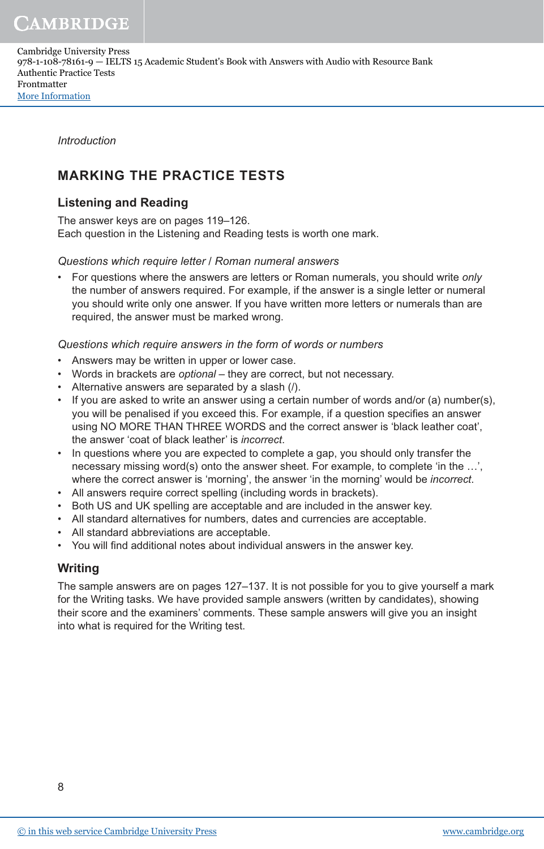Cambridge University Press 978-1-108-78161-9 — IELTS 15 Academic Student's Book with Answers with Audio with Resource Bank Authentic Practice Tests Frontmatter [More Information](www.cambridge.org/9781108781619)

*Introduction*

# **MARKING THE PRACTICE TESTS**

#### **Listening and Reading**

The answer keys are on pages 119–126. Each question in the Listening and Reading tests is worth one mark.

#### *Questions which require letter / Roman numeral answers*

• For questions where the answers are letters or Roman numerals, you should write *only*  the number of answers required. For example, if the answer is a single letter or numeral you should write only one answer. If you have written more letters or numerals than are required, the answer must be marked wrong.

#### *Questions which require answers in the form of words or numbers*

- Answers may be written in upper or lower case.
- Words in brackets are *optional*  they are correct, but not necessary.
- Alternative answers are separated by a slash (/).
- If you are asked to write an answer using a certain number of words and/or (a) number(s), you will be penalised if you exceed this. For example, if a question specifies an answer using NO MORE THAN THREE WORDS and the correct answer is 'black leather coat', the answer 'coat of black leather' is *incorrect*.
- In questions where you are expected to complete a gap, you should only transfer the necessary missing word(s) onto the answer sheet. For example, to complete 'in the …', where the correct answer is 'morning', the answer 'in the morning' would be *incorrect*.
- All answers require correct spelling (including words in brackets).
- Both US and UK spelling are acceptable and are included in the answer key.
- All standard alternatives for numbers, dates and currencies are acceptable.
- All standard abbreviations are acceptable.
- You will find additional notes about individual answers in the answer key.

#### **Writing**

The sample answers are on pages 127–137. It is not possible for you to give yourself a mark for the Writing tasks. We have provided sample answers (written by candidates), showing their score and the examiners' comments. These sample answers will give you an insight into what is required for the Writing test.